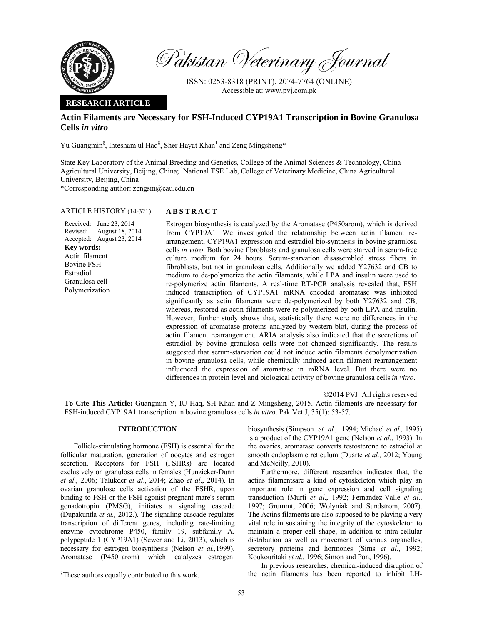

Pakistan Veterinary Journal

ISSN: 0253-8318 (PRINT), 2074-7764 (ONLINE) Accessible at: www.pvj.com.pk

# **RESEARCH ARTICLE**

# **Actin Filaments are Necessary for FSH-Induced CYP19A1 Transcription in Bovine Granulosa Cells** *in vitro*

Yu Guangmin<sup>§</sup>, Ihtesham ul Haq<sup>§</sup>, Sher Hayat Khan<sup>1</sup> and Zeng Mingsheng\*

State Key Laboratory of the Animal Breeding and Genetics, College of the Animal Sciences & Technology, China Agricultural University, Beijing, China; <sup>1</sup>National TSE Lab, College of Veterinary Medicine, China Agricultural University, Beijing, China

\*Corresponding author: zengsm@cau.edu.cn

### ARTICLE HISTORY (14-321) **ABSTRACT**

Received: June 23, 2014 Revised: Accepted: August 18, 2014 August 23, 2014 **Key words:**  Actin filament Bovine FSH Estradiol Granulosa cell Polymerization

 Estrogen biosynthesis is catalyzed by the Aromatase (P450arom), which is derived from CYP19A1. We investigated the relationship between actin filament rearrangement, CYP19A1 expression and estradiol bio-synthesis in bovine granulosa cells *in vitro*. Both bovine fibroblasts and granulosa cells were starved in serum-free culture medium for 24 hours. Serum-starvation disassembled stress fibers in fibroblasts, but not in granulosa cells. Additionally we added Y27632 and CB to medium to de-polymerize the actin filaments, while LPA and insulin were used to re-polymerize actin filaments. A real-time RT-PCR analysis revealed that, FSH induced transcription of CYP19A1 mRNA encoded aromatase was inhibited significantly as actin filaments were de-polymerized by both Y27632 and CB, whereas, restored as actin filaments were re-polymerized by both LPA and insulin. However, further study shows that, statistically there were no differences in the expression of aromatase proteins analyzed by western-blot, during the process of actin filament rearrangement. ARIA analysis also indicated that the secretions of estradiol by bovine granulosa cells were not changed significantly. The results suggested that serum-starvation could not induce actin filaments depolymerization in bovine granulosa cells, while chemically induced actin filament rearrangement influenced the expression of aromatase in mRNA level. But there were no differences in protein level and biological activity of bovine granulosa cells *in vitro*.

©2014 PVJ. All rights reserved

**To Cite This Article:** Guangmin Y, IU Haq, SH Khan and Z Mingsheng, 2015. Actin filaments are necessary for FSH-induced CYP19A1 transcription in bovine granulosa cells *in vitro*. Pak Vet J, 35(1): 53-57.

### **INTRODUCTION**

Follicle-stimulating hormone (FSH) is essential for the follicular maturation, generation of oocytes and estrogen secretion. Receptors for FSH (FSHRs) are located exclusively on granulosa cells in females (Hunzicker-Dunn *et al*., 2006; Talukder *et al*., 2014; Zhao *et al*., 2014). In ovarian granulose cells activation of the FSHR, upon binding to FSH or the FSH agonist pregnant mare's serum gonadotropin (PMSG), initiates a signaling cascade (Dupakuntla *et al.,* 2012.). The signaling cascade regulates transcription of different genes, including rate-limiting enzyme cytochrome P450, family 19, subfamily A, polypeptide 1 (CYP19A1) (Sewer and Li, 2013), which is necessary for estrogen biosynthesis (Nelson *et al.,*1999). Aromatase (P450 arom) which catalyzes estrogen

biosynthesis (Simpson *et al.,* 1994; Michael *et al.,* 1995) is a product of the CYP19A1 gene (Nelson *et al*., 1993). In the ovaries, aromatase converts testosterone to estradiol at smooth endoplasmic reticulum (Duarte *et al.,* 2012; Young and McNeilly, 2010).

Furthermore, different researches indicates that, the actins filamentsare a kind of cytoskeleton which play an important role in gene expression and cell signaling transduction (Murti *et al*., 1992; Fernandez-Valle *et al*., 1997; Grummt, 2006; Wolyniak and Sundstrom, 2007). The Actins filaments are also supposed to be playing a very vital role in sustaining the integrity of the cytoskeleton to maintain a proper cell shape, in addition to intra-cellular distribution as well as movement of various organelles, secretory proteins and hormones (Sims *et al.*, 1992; Koukouritaki *et al*., 1996; Simon and Pon, 1996).

In previous researches, chemical-induced disruption of the actin filaments has been reported to inhibit LH-

<sup>§</sup> These authors equally contributed to this work.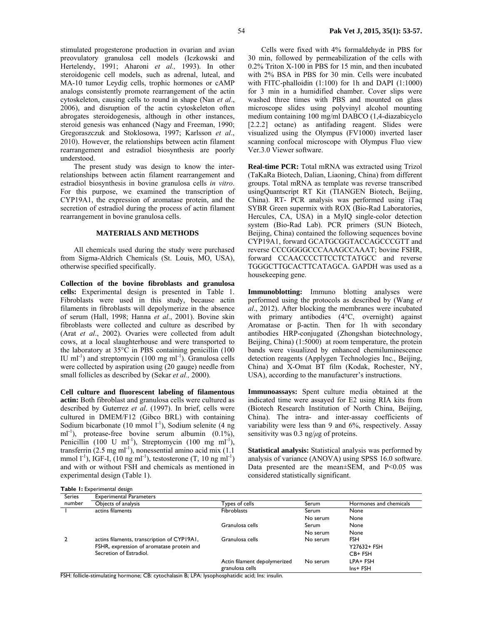stimulated progesterone production in ovarian and avian preovulatory granulosa cell models (Iczkowski and Hertelendy, 1991; Aharoni *et al.,* 1993). In other steroidogenic cell models, such as adrenal, luteal, and MA-10 tumor Leydig cells, trophic hormones or cAMP analogs consistently promote rearrangement of the actin cytoskeleton, causing cells to round in shape (Nan *et al*., 2006), and disruption of the actin cytoskeleton often abrogates steroidogenesis, although in other instances, steroid genesis was enhanced (Nagy and Freeman, 1990; Gregoraszczuk and Stoklosowa, 1997; Karlsson *et al*., 2010). However, the relationships between actin filament rearrangement and estradiol biosynthesis are poorly understood.

The present study was design to know the interrelationships between actin filament rearrangement and estradiol biosynthesis in bovine granulosa cells *in vitro*. For this purpose, we examined the transcription of CYP19A1, the expression of aromatase protein, and the secretion of estradiol during the process of actin filament rearrangement in bovine granulosa cells.

# **MATERIALS AND METHODS**

All chemicals used during the study were purchased from Sigma-Aldrich Chemicals (St. Louis, MO, USA), otherwise specified specifically.

**Collection of the bovine fibroblasts and granulosa cells:** Experimental design is presented in Table 1. Fibroblasts were used in this study, because actin filaments in fibroblasts will depolymerize in the absence of serum (Hall, 1998; Hanna *et al*., 2001). Bovine skin fibroblasts were collected and culture as described by (Arat *et al*., 2002). Ovaries were collected from adult cows, at a local slaughterhouse and were transported to the laboratory at 35°C in PBS containing penicillin (100 IU ml<sup>-1</sup>) and streptomycin (100 mg ml<sup>-1</sup>). Granulosa cells were collected by aspiration using (20 gauge) needle from small follicles as described by (Sekar *et al.,* 2000).

**Cell culture and fluorescent labeling of filamentous actin:** Both fibroblast and granulosa cells were cultured as described by Guterrez *et al*. (1997). In brief, cells were cultured in DMEM/F12 (Gibco BRL) with containing Sodium bicarbonate (10 mmol  $1^{-1}$ ), Sodium selenite (4 ng ml<sup>-1</sup>), protease-free bovine serum albumin (0.1%), Penicillin (100 U ml<sup>-1</sup>), Streptomycin (100 mg ml<sup>-1</sup>), transferrin  $(2.5 \text{ mg ml}^{-1})$ , nonessential amino acid mix  $(1.1)$ mmol  $l^{-1}$ ), IGF-I, (10 ng ml<sup>-1</sup>), testosterone (T, 10 ng ml<sup>-1</sup>) and with or without FSH and chemicals as mentioned in experimental design (Table 1).

**Table 1:** Experimental design

Cells were fixed with 4% formaldehyde in PBS for 30 min, followed by permeabilization of the cells with 0.2% Triton X-100 in PBS for 15 min, and then incubated with 2% BSA in PBS for 30 min. Cells were incubated with FITC-phalloidin (1:100) for 1h and DAPI (1:1000) for 3 min in a humidified chamber. Cover slips were washed three times with PBS and mounted on glass microscope slides using polyvinyl alcohol mounting medium containing 100 mg/ml DABCO (1,4-diazabicyclo [2.2.2] octane) as antifading reagent. Slides were visualized using the Olympus (FV1000) inverted laser scanning confocal microscope with Olympus Fluo view Ver.3.0 Viewer software.

**Real-time PCR:** Total mRNA was extracted using Trizol (TaKaRa Biotech, Dalian, Liaoning, China) from different groups. Total mRNA as template was reverse transcribed usingQuantscript RT Kit (TIANGEN Biotech, Beijing, China). RT- PCR analysis was performed using iTaq SYBR Green supermix with ROX (Bio-Rad Laboratories, Hercules, CA, USA) in a MyIQ single-color detection system (Bio-Rad Lab). PCR primers (SUN Biotech, Beijing, China) contained the following sequences bovine CYP19A1, forward GCATGCGGTACCAGCCCGTT and reverse CCCGGGGCCCAAAGCCAAAT; bovine FSHR, forward CCAACCCCTTCCTCTATGCC and reverse TGGGCTTGCACTTCATAGCA. GAPDH was used as a housekeeping gene.

**Immunoblotting:** Immuno blotting analyses were performed using the protocols as described by (Wang *et al*., 2012). After blocking the membranes were incubated with primary antibodies (4°C, overnight) against Aromatase or β-actin. Then for 1h with secondary antibodies HRP-conjugated (Zhongshan biotechnology, Beijing, China) (1:5000) at room temperature, the protein bands were visualized by enhanced chemiluminescence detection reagents (Applygen Technologies Inc., Beijing, China) and X-Omat BT film (Kodak, Rochester, NY, USA), according to the manufacturer's instructions.

**Immunoassays:** Spent culture media obtained at the indicated time were assayed for E2 using RIA kits from (Biotech Research Institution of North China, Beijing, China). The intra- and inter-assay coefficients of variability were less than 9 and 6%, respectively. Assay sensitivity was 0.3 ng/*µ*g of proteins.

**Statistical analysis:** Statistical analysis was performed by analysis of variance (ANOVA) using SPSS 16.0 software. Data presented are the mean±SEM, and P<0.05 was considered statistically significant.

| <b>Series</b> | <b>Experimental Parameters</b>                                                                      |                              |              |                        |
|---------------|-----------------------------------------------------------------------------------------------------|------------------------------|--------------|------------------------|
| number        | Objects of analysis                                                                                 | Types of cells               | Serum        | Hormones and chemicals |
|               | actins filaments                                                                                    | <b>Fibroblasts</b>           | <b>Serum</b> | None                   |
|               |                                                                                                     |                              | No serum     | None                   |
|               |                                                                                                     | Granulosa cells              | Serum        | None                   |
|               |                                                                                                     |                              | No serum     | None                   |
|               | actins filaments, transcription of CYP19A1,                                                         | Granulosa cells              | No serum     | <b>FSH</b>             |
|               | FSHR, expression of aromatase protein and                                                           |                              |              | Y27632+ FSH            |
|               | Secretion of Estradiol.                                                                             |                              |              | CB+ FSH                |
|               |                                                                                                     | Actin filament depolymerized | No serum     | LPA+ FSH               |
|               |                                                                                                     | granulosa cells              |              | Ins+ FSH               |
|               | ECLI, felliale, etimologina bennesen er CD, museologina D, LDA, bressbessbesidin esid, bes, insulin |                              |              |                        |

FSH: follicle-stimulating hormone; CB: cytochalasin B; LPA: lysophosphatidic acid; Ins: insulin.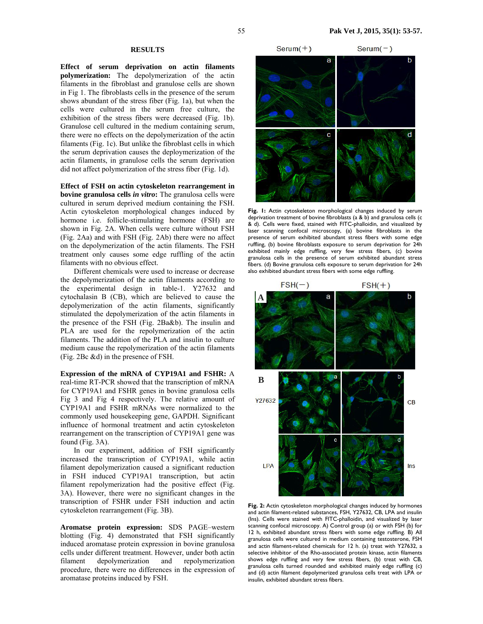### **RESULTS**

**Effect of serum deprivation on actin filaments polymerization:** The depolymerization of the actin filaments in the fibroblast and granulose cells are shown in Fig 1. The fibroblasts cells in the presence of the serum shows abundant of the stress fiber (Fig. 1a), but when the cells were cultured in the serum free culture, the exhibition of the stress fibers were decreased (Fig. 1b). Granulose cell cultured in the medium containing serum, there were no effects on the depolymerization of the actin filaments (Fig. 1c). But unlike the fibroblast cells in which the serum deprivation causes the deploymerization of the actin filaments, in granulose cells the serum deprivation did not affect polymerization of the stress fiber (Fig. 1d).

**Effect of FSH on actin cytoskeleton rearrangement in bovine granulosa cells** *in vitro***:** The granulosa cells were cultured in serum deprived medium containing the FSH. Actin cytoskeleton morphological changes induced by hormone i.e. follicle-stimulating hormone (FSH) are shown in Fig. 2A. When cells were culture without FSH (Fig. 2Aa) and with FSH (Fig. 2Ab) there were no affect on the depolymerization of the actin filaments. The FSH treatment only causes some edge ruffling of the actin filaments with no obvious effect.

Different chemicals were used to increase or decrease the depolymerization of the actin filaments according to the experimental design in table-1. Y27632 and cytochalasin B (CB), which are believed to cause the depolymerization of the actin filaments, significantly stimulated the depolymerization of the actin filaments in the presence of the FSH (Fig. 2Ba&b). The insulin and PLA are used for the repolymerization of the actin filaments. The addition of the PLA and insulin to culture medium cause the repolymerization of the actin filaments (Fig. 2Bc &d) in the presence of FSH.

**Expression of the mRNA of CYP19A1 and FSHR:** A real-time RT-PCR showed that the transcription of mRNA for CYP19A1 and FSHR genes in bovine granulosa cells Fig 3 and Fig 4 respectively. The relative amount of CYP19A1 and FSHR mRNAs were normalized to the commonly used housekeeping gene, GAPDH. Significant influence of hormonal treatment and actin cytoskeleton rearrangement on the transcription of CYP19A1 gene was found (Fig. 3A).

In our experiment, addition of FSH significantly increased the transcription of CYP19A1, while actin filament depolymerization caused a significant reduction in FSH induced CYP19A1 transcription, but actin filament repolymerization had the positive effect (Fig. 3A). However, there were no significant changes in the transcription of FSHR under FSH induction and actin cytoskeleton rearrangement (Fig. 3B).

**Aromatse protein expression:** SDS PAGE–western blotting (Fig. 4) demonstrated that FSH significantly induced aromatase protein expression in bovine granulosa cells under different treatment. However, under both actin filament depolymerization and repolymerization procedure, there were no differences in the expression of aromatase proteins induced by FSH.



**Fig. 1:** Actin cytoskeleton morphological changes induced by serum deprivation treatment of bovine fibroblasts (a & b) and granulosa cells (c & d). Cells were fixed, stained with FITC-phalloidin, and visualized by laser scanning confocal microscopy, (a) bovine fibroblasts in the presence of serum exhibited abundant stress fibers with some edge ruffling, (b) bovine fibroblasts exposure to serum deprivation for 24h exhibited mainly edge ruffling, very few stress fibers, (c) bovine granulosa cells in the presence of serum exhibited abundant stress fibers. (d) Bovine granulosa cells exposure to serum deprivation for 24h also exhibited abundant stress fibers with some edge ruffling.



**Fig. 2:** Actin cytoskeleton morphological changes induced by hormones and actin filament-related substances, FSH, Y27632, CB, LPA and insulin (Ins). Cells were stained with FITC-phalloidin, and visualized by laser scanning confocal microscopy. A) Control group (a) or with FSH (b) for 12 h, exhibited abundant stress fibers with some edge ruffling. B) All granulosa cells were cultured in medium containing testosterone, FSH and actin filament-related chemicals for 12 h. (a) treat with Y27632, a selective inhibitor of the Rho-associated protein kinase, actin filaments shows edge ruffling and very few stress fibers, (b) treat with CB, granulosa cells turned rounded and exhibited mainly edge ruffling (c) and (d) actin filament depolymerized granulosa cells treat with LPA or insulin, exhibited abundant stress fibers.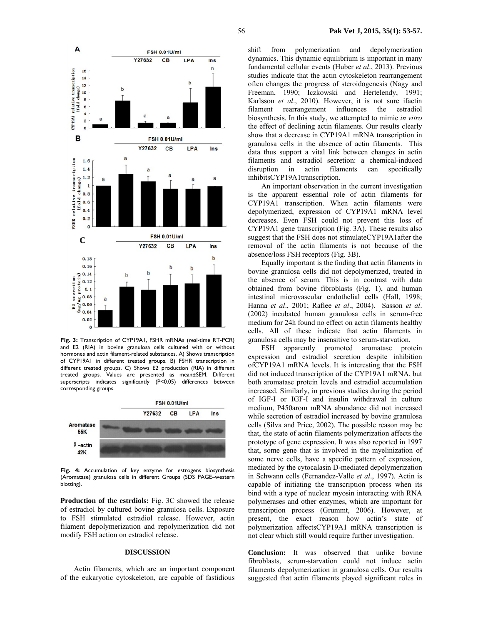

**Fig. 3:** Transcription of CYP19A1, FSHR mRNAs (real-time RT-PCR) and E2 (RIA) in bovine granulosa cells cultured with or without hormones and actin filament-related substances. A) Shows transcription of CYP19A1 in different treated groups. B) FSHR transcription in different treated groups. C) Shows E2 production (RIA) in different treated groups. Values are presented as mean±SEM. Different superscripts indicates significantly (P<0.05) differences between corresponding groups.



**Fig. 4:** Accumulation of key enzyme for estrogens biosynthesis (Aromatase) granulosa cells in different Groups (SDS PAGE–western blotting).

**Production of the estrdiols:** Fig. 3C showed the release of estradiol by cultured bovine granulosa cells. Exposure to FSH stimulated estradiol release. However, actin filament depolymerization and repolymerization did not modify FSH action on estradiol release.

#### **DISCUSSION**

Actin filaments, which are an important component of the eukaryotic cytoskeleton, are capable of fastidious shift from polymerization and depolymerization dynamics. This dynamic equilibrium is important in many fundamental cellular events (Huber *et al*., 2013). Previous studies indicate that the actin cytoskeleton rearrangement often changes the progress of steroidogenesis (Nagy and Freeman, 1990; Iczkowski and Hertelendy, 1991; Karlsson *et al*., 2010). However, it is not sure ifactin filament rearrangement influences the estradiol biosynthesis. In this study, we attempted to mimic *in vitro* the effect of declining actin filaments. Our results clearly show that a decrease in CYP19A1 mRNA transcription in granulosa cells in the absence of actin filaments. This data thus support a vital link between changes in actin filaments and estradiol secretion: a chemical-induced disruption in actin filaments can specifically inhibitsCYP19A1transcription.

An important observation in the current investigation is the apparent essential role of actin filaments for CYP19A1 transcription. When actin filaments were depolymerized, expression of CYP19A1 mRNA level decreases. Even FSH could not prevent this loss of CYP19A1 gene transcription (Fig. 3A). These results also suggest that the FSH does not stimulateCYP19A1after the removal of the actin filaments is not because of the absence/loss FSH receptors (Fig. 3B).

Equally important is the finding that actin filaments in bovine granulosa cells did not depolymerized, treated in the absence of serum. This is in contrast with data obtained from bovine fibroblasts (Fig. 1), and human intestinal microvascular endothelial cells (Hall, 1998; Hanna *et al*., 2001; Rafiee *et al*., 2004). Sasson *et al*. (2002) incubated human granulosa cells in serum-free medium for 24h found no effect on actin filaments healthy cells. All of these indicate that actin filaments in granulosa cells may be insensitive to serum-starvation.

FSH apparently promoted aromatase protein expression and estradiol secretion despite inhibition ofCYP19A1 mRNA levels. It is interesting that the FSH did not induced transcription of the CYP19A1 mRNA, but both aromatase protein levels and estradiol accumulation increased. Similarly, in previous studies during the period of IGF-I or IGF-I and insulin withdrawal in culture medium, P450arom mRNA abundance did not increased while secretion of estradiol increased by bovine granulosa cells (Silva and Price, 2002). The possible reason may be that, the state of actin filaments polymerization affects the prototype of gene expression. It was also reported in 1997 that, some gene that is involved in the myelinization of some nerve cells, have a specific pattern of expression, mediated by the cytocalasin D-mediated depolymerization in Schwann cells (Fernandez-Valle *et al*., 1997). Actin is capable of initiating the transcription process when its bind with a type of nuclear myosin interacting with RNA polymerases and other enzymes, which are important for transcription process (Grummt, 2006). However, at present, the exact reason how actin's state of polymerization affectsCYP19A1 mRNA transcription is not clear which still would require further investigation.

**Conclusion:** It was observed that unlike bovine fibroblasts, serum-starvation could not induce actin filaments depolymerization in granulosa cells. Our results suggested that actin filaments played significant roles in